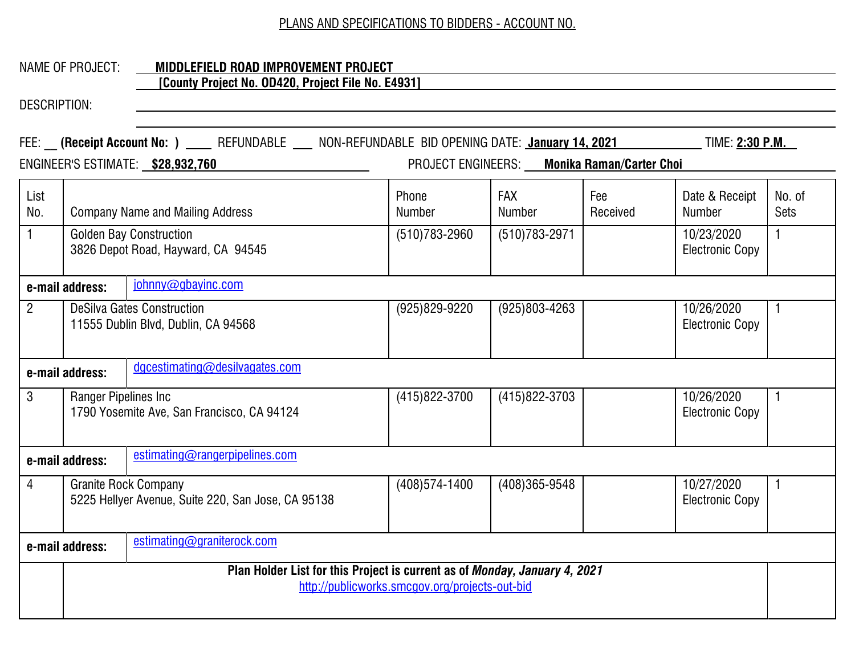## NAME OF PROJECT: **MIDDLEFIELD ROAD IMPROVEMENT PROJECT [County Project No. OD420, Project File No. E4931]**

|                                                   |                                                                                  | FEE: (Receipt Account No: ) ____ REFUNDABLE ___ NON-REFUNDABLE BID OPENING DATE: January 14, 2021 |                                                |                             |                 | TIME: <u>2:30 p.m.</u>               |                |
|---------------------------------------------------|----------------------------------------------------------------------------------|---------------------------------------------------------------------------------------------------|------------------------------------------------|-----------------------------|-----------------|--------------------------------------|----------------|
|                                                   | PROJECT ENGINEERS: Monika Raman/Carter Choi<br>ENGINEER'S ESTIMATE: \$28,932,760 |                                                                                                   |                                                |                             |                 |                                      |                |
| List<br>No.                                       |                                                                                  | <b>Company Name and Mailing Address</b>                                                           | Phone<br><b>Number</b>                         | <b>FAX</b><br><b>Number</b> | Fee<br>Received | Date & Receipt<br>Number             | No. of<br>Sets |
| $\mathbf{1}$                                      | <b>Golden Bay Construction</b><br>3826 Depot Road, Hayward, CA 94545             |                                                                                                   | $(510)783 - 2960$                              | $(510)783 - 2971$           |                 | 10/23/2020<br><b>Electronic Copy</b> | $\mathbf{1}$   |
|                                                   | e-mail address:                                                                  | johnny@gbayinc.com                                                                                |                                                |                             |                 |                                      |                |
| $2^{\circ}$                                       |                                                                                  | <b>DeSilva Gates Construction</b><br>11555 Dublin Blvd, Dublin, CA 94568                          | $(925)829 - 9220$                              | $(925)803 - 4263$           |                 | 10/26/2020<br><b>Electronic Copy</b> | $\mathbf 1$    |
| dgcestimating@desilvagates.com<br>e-mail address: |                                                                                  |                                                                                                   |                                                |                             |                 |                                      |                |
| 3                                                 | Ranger Pipelines Inc                                                             | 1790 Yosemite Ave, San Francisco, CA 94124                                                        | (415) 822-3700                                 | (415) 822-3703              |                 | 10/26/2020<br><b>Electronic Copy</b> | $\mathbf{1}$   |
|                                                   | e-mail address:                                                                  | estimating@rangerpipelines.com                                                                    |                                                |                             |                 |                                      |                |
| $\overline{4}$                                    |                                                                                  | <b>Granite Rock Company</b><br>5225 Hellyer Avenue, Suite 220, San Jose, CA 95138                 | (408) 574-1400                                 | $(408)365 - 9548$           |                 | 10/27/2020<br><b>Electronic Copy</b> | $\mathbf 1$    |
|                                                   | e-mail address:                                                                  | estimating@graniterock.com                                                                        |                                                |                             |                 |                                      |                |
|                                                   |                                                                                  | Plan Holder List for this Project is current as of Monday, January 4, 2021                        | http://publicworks.smcgov.org/projects-out-bid |                             |                 |                                      |                |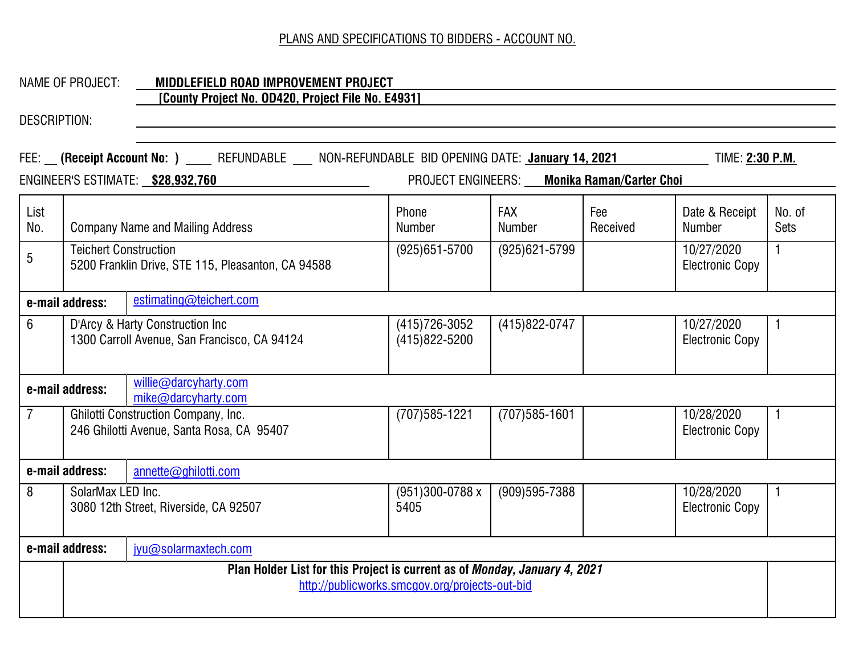#### NAME OF PROJECT: **MIDDLEFIELD ROAD IMPROVEMENT PROJECT [County Project No. OD420, Project File No. E4931]**

| FEE: __ (Receipt Account No: ) ____ REFUNDABLE ___ NON-REFUNDABLE BID OPENING DATE: January 14, 2021<br>TIME: <u>2:30 P.M.</u><br>ENGINEER'S ESTIMATE: \$28,932,760<br>PROJECT ENGINEERS: Monika Raman/Carter Choi |                                                                                                                              |                                                                                         |                                     |                             |                 |                                      |                       |
|--------------------------------------------------------------------------------------------------------------------------------------------------------------------------------------------------------------------|------------------------------------------------------------------------------------------------------------------------------|-----------------------------------------------------------------------------------------|-------------------------------------|-----------------------------|-----------------|--------------------------------------|-----------------------|
|                                                                                                                                                                                                                    |                                                                                                                              |                                                                                         |                                     |                             |                 |                                      |                       |
| List<br>No.                                                                                                                                                                                                        |                                                                                                                              | <b>Company Name and Mailing Address</b>                                                 | Phone<br><b>Number</b>              | <b>FAX</b><br><b>Number</b> | Fee<br>Received | Date & Receipt<br><b>Number</b>      | No. of<br><b>Sets</b> |
| 5                                                                                                                                                                                                                  | <b>Teichert Construction</b><br>5200 Franklin Drive, STE 115, Pleasanton, CA 94588                                           |                                                                                         | $(925)651 - 5700$                   | $(925)621 - 5799$           |                 | 10/27/2020<br><b>Electronic Copy</b> | $\mathbf{1}$          |
|                                                                                                                                                                                                                    | estimating@teichert.com<br>e-mail address:                                                                                   |                                                                                         |                                     |                             |                 |                                      |                       |
| 6                                                                                                                                                                                                                  |                                                                                                                              | D'Arcy & Harty Construction Inc<br>1300 Carroll Avenue, San Francisco, CA 94124         | (415) 726-3052<br>$(415)822 - 5200$ | (415) 822-0747              |                 | 10/27/2020<br><b>Electronic Copy</b> | 1                     |
|                                                                                                                                                                                                                    | e-mail address:                                                                                                              | willie@darcyharty.com<br>mike@darcyharty.com                                            |                                     |                             |                 |                                      |                       |
| $\overline{7}$                                                                                                                                                                                                     |                                                                                                                              | <b>Ghilotti Construction Company, Inc.</b><br>246 Ghilotti Avenue, Santa Rosa, CA 95407 | $(707)585 - 1221$                   | $(707)585 - 1601$           |                 | 10/28/2020<br><b>Electronic Copy</b> | $\mathbf 1$           |
|                                                                                                                                                                                                                    | e-mail address:                                                                                                              | annette@ghilotti.com                                                                    |                                     |                             |                 |                                      |                       |
| 8                                                                                                                                                                                                                  | SolarMax LED Inc.                                                                                                            | 3080 12th Street, Riverside, CA 92507                                                   | (951)300-0788 x<br>5405             | $(909)595 - 7388$           |                 | 10/28/2020<br><b>Electronic Copy</b> | $\mathbf{1}$          |
|                                                                                                                                                                                                                    | e-mail address:                                                                                                              | jyu@solarmaxtech.com                                                                    |                                     |                             |                 |                                      |                       |
|                                                                                                                                                                                                                    | Plan Holder List for this Project is current as of Monday, January 4, 2021<br>http://publicworks.smcgov.org/projects-out-bid |                                                                                         |                                     |                             |                 |                                      |                       |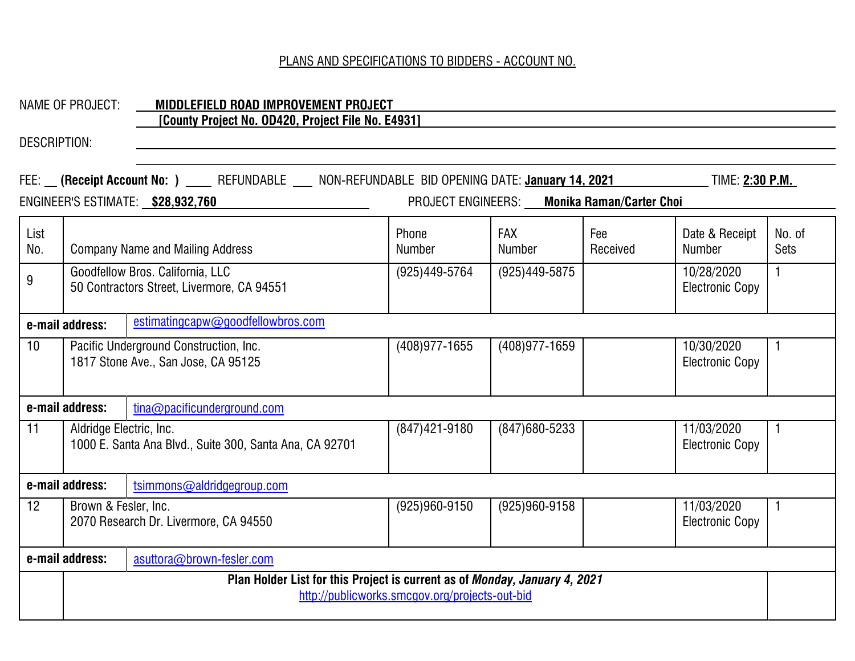|                                                      | <b>NAME OF PROJECT:</b>                 | MIDDLEFIELD ROAD IMPROVEMENT PROJECT<br>[County Project No. 0D420, Project File No. E4931]                                             |                                                |                                             |                 |                                      |                |
|------------------------------------------------------|-----------------------------------------|----------------------------------------------------------------------------------------------------------------------------------------|------------------------------------------------|---------------------------------------------|-----------------|--------------------------------------|----------------|
| <b>DESCRIPTION:</b>                                  |                                         |                                                                                                                                        |                                                |                                             |                 |                                      |                |
|                                                      |                                         | FEE: (Receipt Account No: ) ____ REFUNDABLE ___ NON-REFUNDABLE BID OPENING DATE: January 14, 2021<br>ENGINEER'S ESTIMATE: \$28,932,760 |                                                | PROJECT ENGINEERS: Monika Raman/Carter Choi |                 | TIME: <b>2:30 P.M.</b>               |                |
| List<br>No.                                          | <b>Company Name and Mailing Address</b> |                                                                                                                                        | Phone<br>Number                                | <b>FAX</b><br>Number                        | Fee<br>Received | Date & Receipt<br><b>Number</b>      | No. of<br>Sets |
| 9                                                    |                                         | Goodfellow Bros. California, LLC<br>50 Contractors Street, Livermore, CA 94551                                                         | (925)449-5764                                  | (925)449-5875                               |                 | 10/28/2020<br><b>Electronic Copy</b> | $\mathbf{1}$   |
| estimatingcapw@goodfellowbros.com<br>e-mail address: |                                         |                                                                                                                                        |                                                |                                             |                 |                                      |                |
| 10 <sup>°</sup>                                      |                                         | Pacific Underground Construction, Inc.<br>1817 Stone Ave., San Jose, CA 95125                                                          | $(408)977 - 1655$                              | (408) 977-1659                              |                 | 10/30/2020<br><b>Electronic Copy</b> | $\mathbf{1}$   |
|                                                      | e-mail address:                         | tina@pacificunderground.com                                                                                                            |                                                |                                             |                 |                                      |                |
| 11                                                   | Aldridge Electric, Inc.                 | 1000 E. Santa Ana Blvd., Suite 300, Santa Ana, CA 92701                                                                                | (847) 421-9180                                 | (847) 680-5233                              |                 | 11/03/2020<br><b>Electronic Copy</b> | 1.             |
|                                                      | e-mail address:                         | tsimmons@aldridgegroup.com                                                                                                             |                                                |                                             |                 |                                      |                |
| 12 <sup>2</sup>                                      | Brown & Fesler, Inc.                    | 2070 Research Dr. Livermore, CA 94550                                                                                                  | $(925)960 - 9150$                              | $(925)960 - 9158$                           |                 | 11/03/2020<br><b>Electronic Copy</b> | $\mathbf{1}$   |
|                                                      | e-mail address:                         | asuttora@brown-fesler.com                                                                                                              |                                                |                                             |                 |                                      |                |
|                                                      |                                         | Plan Holder List for this Project is current as of Monday, January 4, 2021                                                             | http://publicworks.smcgov.org/projects-out-bid |                                             |                 |                                      |                |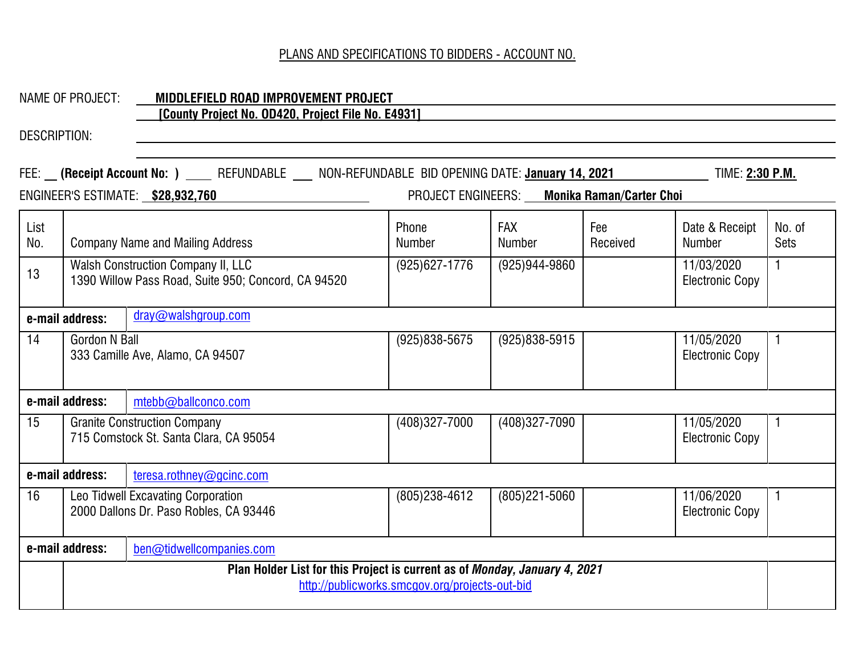# NAME OF PROJECT: **MIDDLEFIELD ROAD IMPROVEMENT PROJECT**

# **[County Project No. OD420, Project File No. E4931]**

| FEE: __ (Receipt Account No: ) ____ REFUNDABLE ___ NON-REFUNDABLE BID OPENING DATE: January 14, 2021<br>TIME: 2:30 P.M.<br>ENGINEER'S ESTIMATE: \$28,932,760<br>PROJECT ENGINEERS: Monika Raman/Carter Choi |                                                                                                                              |                                                                              |                        |                             |                 |                                      |                       |
|-------------------------------------------------------------------------------------------------------------------------------------------------------------------------------------------------------------|------------------------------------------------------------------------------------------------------------------------------|------------------------------------------------------------------------------|------------------------|-----------------------------|-----------------|--------------------------------------|-----------------------|
| List<br>No.                                                                                                                                                                                                 |                                                                                                                              | <b>Company Name and Mailing Address</b>                                      | Phone<br><b>Number</b> | <b>FAX</b><br><b>Number</b> | Fee<br>Received | Date & Receipt<br><b>Number</b>      | No. of<br><b>Sets</b> |
| 13                                                                                                                                                                                                          | <b>Walsh Construction Company II, LLC</b><br>1390 Willow Pass Road, Suite 950; Concord, CA 94520                             |                                                                              | (925) 627-1776         | (925) 944-9860              |                 | 11/03/2020<br>Electronic Copy        | $\mathbf{1}$          |
|                                                                                                                                                                                                             | dray@walshgroup.com<br>e-mail address:                                                                                       |                                                                              |                        |                             |                 |                                      |                       |
| 14                                                                                                                                                                                                          | <b>Gordon N Ball</b>                                                                                                         | 333 Camille Ave, Alamo, CA 94507                                             | $(925)838 - 5675$      | $(925)838 - 5915$           |                 | 11/05/2020<br><b>Electronic Copy</b> | $\mathbf{1}$          |
|                                                                                                                                                                                                             | e-mail address:                                                                                                              | mtebb@ballconco.com                                                          |                        |                             |                 |                                      |                       |
| 15                                                                                                                                                                                                          | <b>Granite Construction Company</b><br>715 Comstock St. Santa Clara, CA 95054                                                |                                                                              | (408)327-7000          | (408) 327-7090              |                 | 11/05/2020<br><b>Electronic Copy</b> | $\mathbf 1$           |
|                                                                                                                                                                                                             | e-mail address:                                                                                                              | teresa.rothney@gcinc.com                                                     |                        |                             |                 |                                      |                       |
| 16                                                                                                                                                                                                          |                                                                                                                              | Leo Tidwell Excavating Corporation<br>2000 Dallons Dr. Paso Robles, CA 93446 | $(805)238 - 4612$      | $(805)221 - 5060$           |                 | 11/06/2020<br><b>Electronic Copy</b> | $\mathbf{1}$          |
|                                                                                                                                                                                                             | e-mail address:                                                                                                              | ben@tidwellcompanies.com                                                     |                        |                             |                 |                                      |                       |
|                                                                                                                                                                                                             | Plan Holder List for this Project is current as of Monday, January 4, 2021<br>http://publicworks.smcgov.org/projects-out-bid |                                                                              |                        |                             |                 |                                      |                       |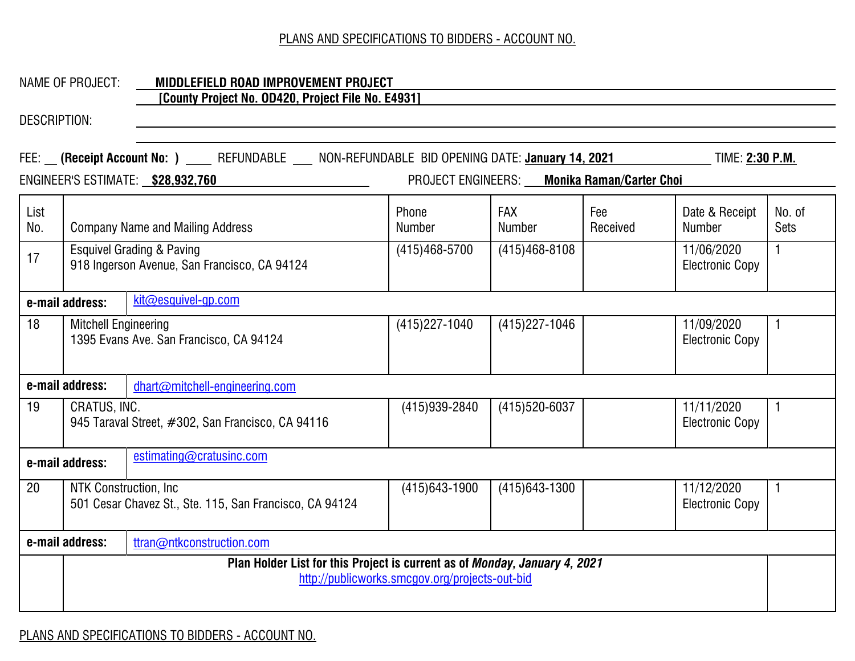### NAME OF PROJECT: **MIDDLEFIELD ROAD IMPROVEMENT PROJECT [County Project No. OD420, Project File No. E4931]**

|             |                                                                                                                              | FEE: (Receipt Account No: ) ____ REFUNDABLE ___ NON-REFUNDABLE BID OPENING DATE: <u>January 14, 2021</u> |                        |                                             |                 | TIME: 2:30 P.M.                      |                       |
|-------------|------------------------------------------------------------------------------------------------------------------------------|----------------------------------------------------------------------------------------------------------|------------------------|---------------------------------------------|-----------------|--------------------------------------|-----------------------|
|             |                                                                                                                              | ENGINEER'S ESTIMATE: \$28,932,760                                                                        |                        | PROJECT ENGINEERS: Monika Raman/Carter Choi |                 |                                      |                       |
| List<br>No. |                                                                                                                              | <b>Company Name and Mailing Address</b>                                                                  | Phone<br><b>Number</b> | FAX<br><b>Number</b>                        | Fee<br>Received | Date & Receipt<br><b>Number</b>      | No. of<br><b>Sets</b> |
|             |                                                                                                                              |                                                                                                          | $(415)468 - 5700$      |                                             |                 |                                      |                       |
| 17          |                                                                                                                              | <b>Esquivel Grading &amp; Paving</b><br>918 Ingerson Avenue, San Francisco, CA 94124                     |                        | $(415)468 - 8108$                           |                 | 11/06/2020<br><b>Electronic Copy</b> | $\mathbf{1}$          |
|             | e-mail address:                                                                                                              | kit@esquivel-gp.com                                                                                      |                        |                                             |                 |                                      |                       |
| 18          | <b>Mitchell Engineering</b>                                                                                                  | 1395 Evans Ave. San Francisco, CA 94124                                                                  | $(415)227 - 1040$      | $(415)227 - 1046$                           |                 | 11/09/2020<br><b>Electronic Copy</b> | $\mathbf{1}$          |
|             | e-mail address:                                                                                                              | dhart@mitchell-engineering.com                                                                           |                        |                                             |                 |                                      |                       |
| 19          | CRATUS, INC.                                                                                                                 | 945 Taraval Street, #302, San Francisco, CA 94116                                                        | (415) 939-2840         | (415) 520-6037                              |                 | 11/11/2020<br><b>Electronic Copy</b> | 1                     |
|             | e-mail address:                                                                                                              | estimating@cratusinc.com                                                                                 |                        |                                             |                 |                                      |                       |
| 20          |                                                                                                                              | NTK Construction, Inc.<br>501 Cesar Chavez St., Ste. 115, San Francisco, CA 94124                        | $(415)643 - 1900$      | $(415)643 - 1300$                           |                 | 11/12/2020<br><b>Electronic Copy</b> | 1                     |
|             | e-mail address:                                                                                                              | ttran@ntkconstruction.com                                                                                |                        |                                             |                 |                                      |                       |
|             | Plan Holder List for this Project is current as of Monday, January 4, 2021<br>http://publicworks.smcgov.org/projects-out-bid |                                                                                                          |                        |                                             |                 |                                      |                       |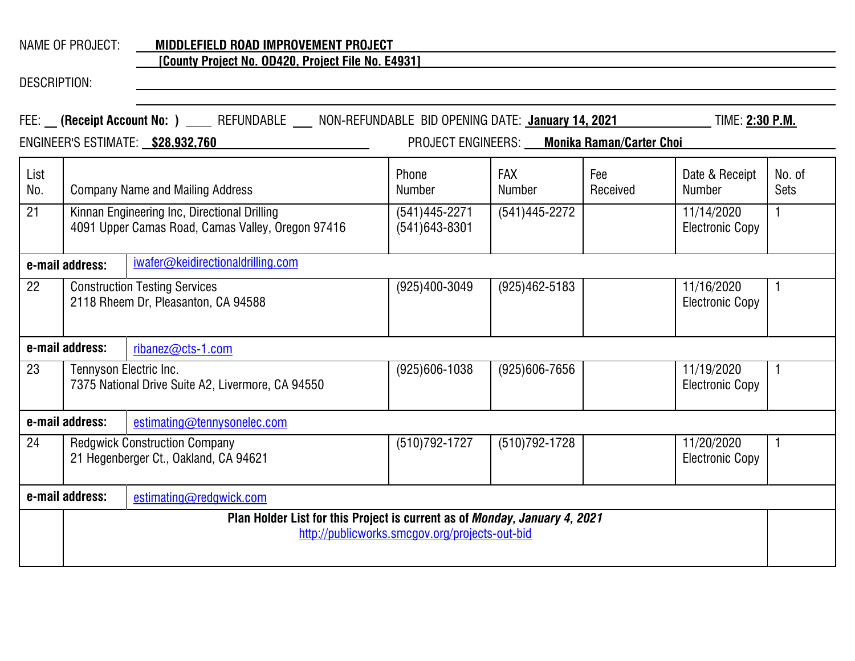# NAME OF PROJECT: **MIDDLEFIELD ROAD IMPROVEMENT PROJECT**

#### **[County Project No. OD420, Project File No. E4931]**

| FEE: __ (Receipt Account No: ) ____ REFUNDABLE ___ NON-REFUNDABLE BID OPENING DATE: January 14, 2021<br>TIME: 2:30 P.M. |                                                                                                                              |                                                                               |                                        |                             |                 |                                      |                |  |
|-------------------------------------------------------------------------------------------------------------------------|------------------------------------------------------------------------------------------------------------------------------|-------------------------------------------------------------------------------|----------------------------------------|-----------------------------|-----------------|--------------------------------------|----------------|--|
|                                                                                                                         | PROJECT ENGINEERS: Monika Raman/Carter Choi<br>ENGINEER'S ESTIMATE: \$28,932,760                                             |                                                                               |                                        |                             |                 |                                      |                |  |
| List<br>No.                                                                                                             |                                                                                                                              | <b>Company Name and Mailing Address</b>                                       | Phone<br><b>Number</b>                 | <b>FAX</b><br><b>Number</b> | Fee<br>Received | Date & Receipt<br><b>Number</b>      | No. of<br>Sets |  |
| 21                                                                                                                      | Kinnan Engineering Inc, Directional Drilling<br>4091 Upper Camas Road, Camas Valley, Oregon 97416                            |                                                                               | $(541)445 - 2271$<br>$(541)643 - 8301$ | $(541)445 - 2272$           |                 | 11/14/2020<br><b>Electronic Copy</b> | $\mathbf{1}$   |  |
|                                                                                                                         | iwafer@keidirectionaldrilling.com<br>e-mail address:                                                                         |                                                                               |                                        |                             |                 |                                      |                |  |
| 22                                                                                                                      |                                                                                                                              | <b>Construction Testing Services</b><br>2118 Rheem Dr, Pleasanton, CA 94588   | (925)400-3049                          | $(925)462 - 5183$           |                 | 11/16/2020<br><b>Electronic Copy</b> | $\mathbf{1}$   |  |
|                                                                                                                         | e-mail address:                                                                                                              | ribanez@cts-1.com                                                             |                                        |                             |                 |                                      |                |  |
| 23                                                                                                                      | Tennyson Electric Inc.                                                                                                       | 7375 National Drive Suite A2, Livermore, CA 94550                             | $(925)606 - 1038$                      | $(925)606 - 7656$           |                 | 11/19/2020<br><b>Electronic Copy</b> | $\mathbf{1}$   |  |
|                                                                                                                         | e-mail address:                                                                                                              | estimating@tennysonelec.com                                                   |                                        |                             |                 |                                      |                |  |
| 24                                                                                                                      |                                                                                                                              | <b>Redgwick Construction Company</b><br>21 Hegenberger Ct., Oakland, CA 94621 | (510) 792-1727                         | $(510)792 - 1728$           |                 | 11/20/2020<br><b>Electronic Copy</b> | 1              |  |
|                                                                                                                         | e-mail address:                                                                                                              | estimating@redgwick.com                                                       |                                        |                             |                 |                                      |                |  |
|                                                                                                                         | Plan Holder List for this Project is current as of Monday, January 4, 2021<br>http://publicworks.smcgov.org/projects-out-bid |                                                                               |                                        |                             |                 |                                      |                |  |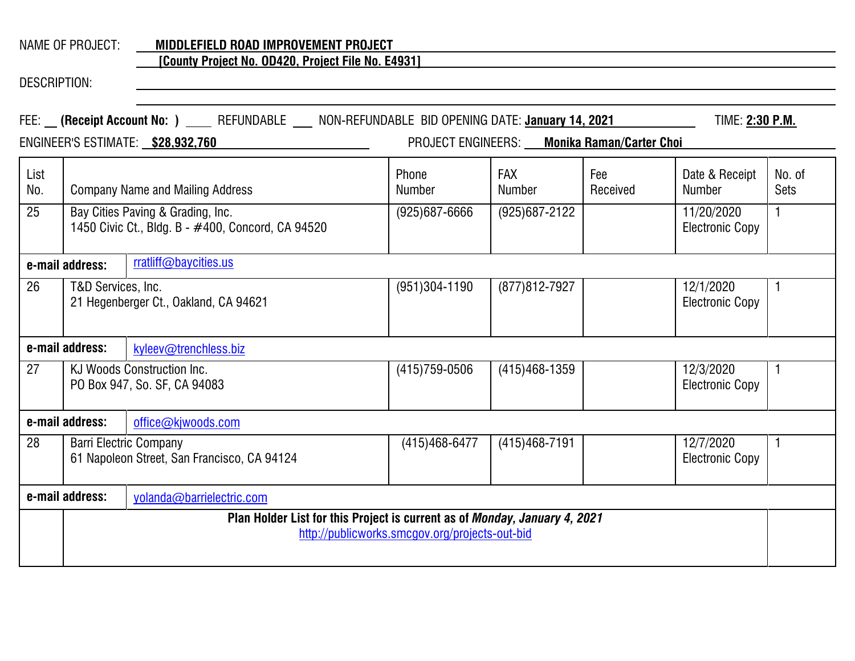# NAME OF PROJECT: **MIDDLEFIELD ROAD IMPROVEMENT PROJECT**

#### **[County Project No. OD420, Project File No. E4931]**

|             | FEE: __ (Receipt Account No: ) ____ REFUNDABLE ___ NON-REFUNDABLE BID OPENING DATE: January 14, 2021<br>TIME: 2:30 P.M.<br>PROJECT ENGINEERS: Monika Raman/Carter Choi<br>ENGINEER'S ESTIMATE: \$28,932,760 |                                                                              |                        |                      |                 |                                      |                       |
|-------------|-------------------------------------------------------------------------------------------------------------------------------------------------------------------------------------------------------------|------------------------------------------------------------------------------|------------------------|----------------------|-----------------|--------------------------------------|-----------------------|
| List<br>No. |                                                                                                                                                                                                             | <b>Company Name and Mailing Address</b>                                      | Phone<br><b>Number</b> | <b>FAX</b><br>Number | Fee<br>Received | Date & Receipt<br>Number             | No. of<br><b>Sets</b> |
| 25          | Bay Cities Paving & Grading, Inc.<br>1450 Civic Ct., Bldg. B - #400, Concord, CA 94520                                                                                                                      |                                                                              | $(925)687 - 6666$      | $(925)687 - 2122$    |                 | 11/20/2020<br><b>Electronic Copy</b> | $\mathbf{1}$          |
|             | rratliff@baycities.us<br>e-mail address:                                                                                                                                                                    |                                                                              |                        |                      |                 |                                      |                       |
| 26          | T&D Services, Inc.                                                                                                                                                                                          | 21 Hegenberger Ct., Oakland, CA 94621                                        | $(951)304 - 1190$      | (877) 812-7927       |                 | 12/1/2020<br><b>Electronic Copy</b>  | $\mathbf{1}$          |
|             | e-mail address:                                                                                                                                                                                             | kyleev@trenchless.biz                                                        |                        |                      |                 |                                      |                       |
| 27          |                                                                                                                                                                                                             | KJ Woods Construction Inc.<br>PO Box 947, So. SF, CA 94083                   | $(415)759 - 0506$      | $(415)468 - 1359$    |                 | 12/3/2020<br><b>Electronic Copy</b>  | 1                     |
|             | e-mail address:                                                                                                                                                                                             | office@kjwoods.com                                                           |                        |                      |                 |                                      |                       |
| 28          |                                                                                                                                                                                                             | <b>Barri Electric Company</b><br>61 Napoleon Street, San Francisco, CA 94124 | (415) 468-6477         | $(415)468 - 7191$    |                 | 12/7/2020<br><b>Electronic Copy</b>  | $\mathbf{1}$          |
|             | e-mail address:                                                                                                                                                                                             | yolanda@barrielectric.com                                                    |                        |                      |                 |                                      |                       |
|             | Plan Holder List for this Project is current as of Monday, January 4, 2021<br>http://publicworks.smcgov.org/projects-out-bid                                                                                |                                                                              |                        |                      |                 |                                      |                       |